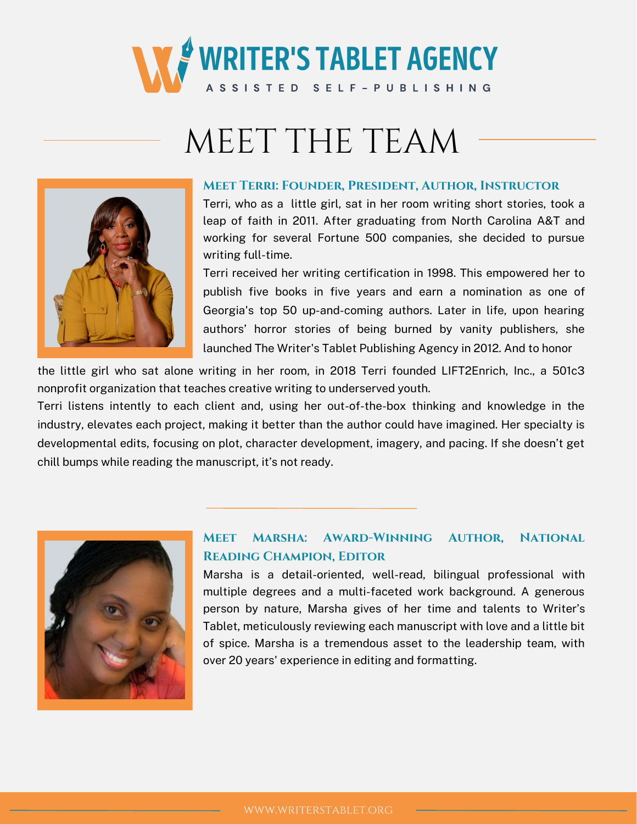

# MEET THE TEAM



#### **Meet Terri: Founder, President, Author, Instructor**

Terri, who as a little girl, sat in her room writing short stories, took a leap of faith in 2011. After graduating from North Carolina A&T and working for several Fortune 500 companies, she decided to pursue writing full-time.

Terri received her writing certification in 1998. This empowered her to publish five books in five years and earn a nomination as one of Georgia's top 50 up-and-coming authors. Later in life, upon hearing authors' horror stories of being burned by vanity publishers, she launched The Writer's Tablet Publishing Agency in 2012. And to honor

the little girl who sat alone writing in her room, in 2018 Terri founded LIFT2Enrich, Inc., a 501c3 nonprofit organization that teaches creative writing to underserved youth.

Terri listens intently to each client and, using her out-of-the-box thinking and knowledge in the industry, elevates each project, making it better than the author could have imagined. Her specialty is developmental edits, focusing on plot, character development, imagery, and pacing. If she doesn't get chill bumps while reading the manuscript, it's not ready.



### **Meet Marsha: Award-Winning Author, National Reading Champion, Editor**

Marsha is a detail-oriented, well-read, bilingual professional with multiple degrees and a multi-faceted work background. A generous person by nature, Marsha gives of her time and talents to Writer's Tablet, meticulously reviewing each manuscript with love and a little bit of spice. Marsha is a tremendous asset to the leadership team, with over 20 years' experience in editing and formatting.